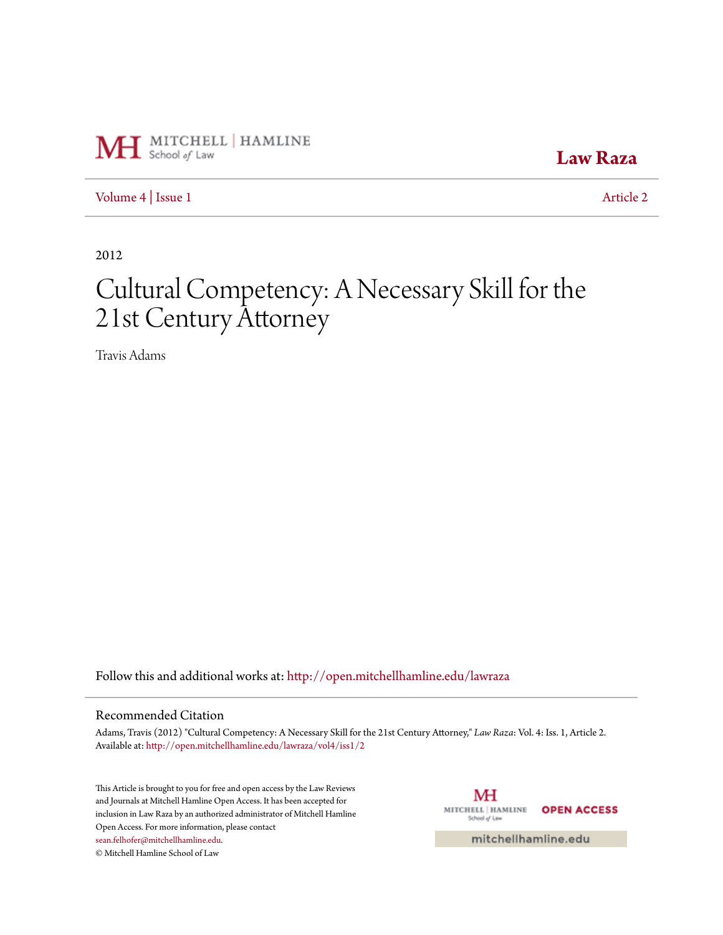

**[Law Raza](http://open.mitchellhamline.edu/lawraza?utm_source=open.mitchellhamline.edu%2Flawraza%2Fvol4%2Fiss1%2F2&utm_medium=PDF&utm_campaign=PDFCoverPages)**

[Volume 4](http://open.mitchellhamline.edu/lawraza/vol4?utm_source=open.mitchellhamline.edu%2Flawraza%2Fvol4%2Fiss1%2F2&utm_medium=PDF&utm_campaign=PDFCoverPages) | [Issue 1](http://open.mitchellhamline.edu/lawraza/vol4/iss1?utm_source=open.mitchellhamline.edu%2Flawraza%2Fvol4%2Fiss1%2F2&utm_medium=PDF&utm_campaign=PDFCoverPages) [Article 2](http://open.mitchellhamline.edu/lawraza/vol4/iss1/2?utm_source=open.mitchellhamline.edu%2Flawraza%2Fvol4%2Fiss1%2F2&utm_medium=PDF&utm_campaign=PDFCoverPages)

2012

# Cultural Competency: A Necessary Skill for the 21st Century Attorney

Travis Adams

Follow this and additional works at: [http://open.mitchellhamline.edu/lawraza](http://open.mitchellhamline.edu/lawraza?utm_source=open.mitchellhamline.edu%2Flawraza%2Fvol4%2Fiss1%2F2&utm_medium=PDF&utm_campaign=PDFCoverPages)

#### Recommended Citation

Adams, Travis (2012) "Cultural Competency: A Necessary Skill for the 21st Century Attorney," *Law Raza*: Vol. 4: Iss. 1, Article 2. Available at: [http://open.mitchellhamline.edu/lawraza/vol4/iss1/2](http://open.mitchellhamline.edu/lawraza/vol4/iss1/2?utm_source=open.mitchellhamline.edu%2Flawraza%2Fvol4%2Fiss1%2F2&utm_medium=PDF&utm_campaign=PDFCoverPages)

This Article is brought to you for free and open access by the Law Reviews and Journals at Mitchell Hamline Open Access. It has been accepted for inclusion in Law Raza by an authorized administrator of Mitchell Hamline Open Access. For more information, please contact [sean.felhofer@mitchellhamline.edu](mailto:sean.felhofer@mitchellhamline.edu). © Mitchell Hamline School of Law

МH MITCHELL | HAMLINE **OPEN ACCESS** School of Law

mitchellhamline.edu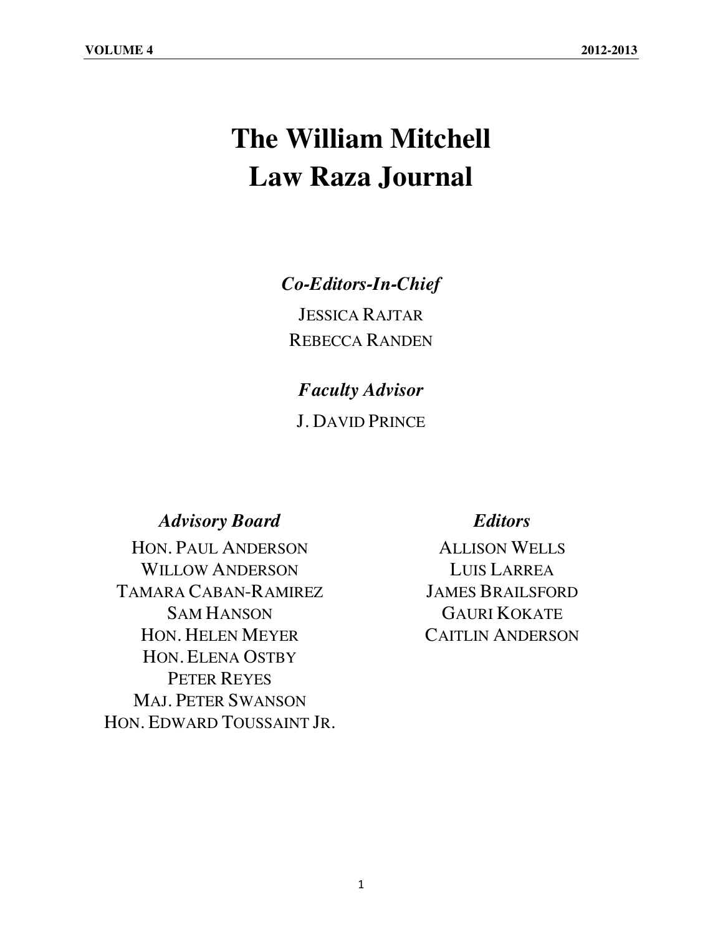# **The William Mitchell Law Raza Journal**

## *Co-Editors-In-Chief*

JESSICA RAJTAR REBECCA RANDEN

# *Faculty Advisor*

J. DAVID PRINCE

### *Advisory Board Editors*

HON. PAUL ANDERSON ALLISON WELLS WILLOW ANDERSON LUIS LARREA TAMARA CABAN-RAMIREZ JAMES BRAILSFORD SAM HANSON GAURI KOKATE HON. HELEN MEYER CAITLIN ANDERSON HON. ELENA OSTBY PETER REYES MAJ. PETER SWANSON HON. EDWARD TOUSSAINT JR.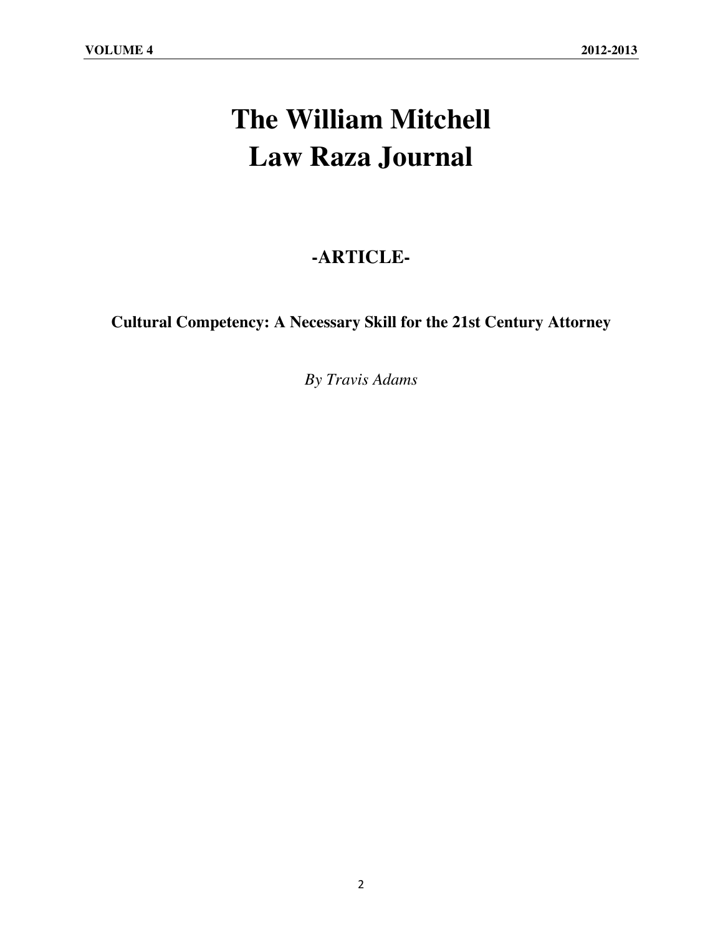# **The William Mitchell Law Raza Journal**

# **-ARTICLE-**

**Cultural Competency: A Necessary Skill for the 21st Century Attorney**

*By Travis Adams*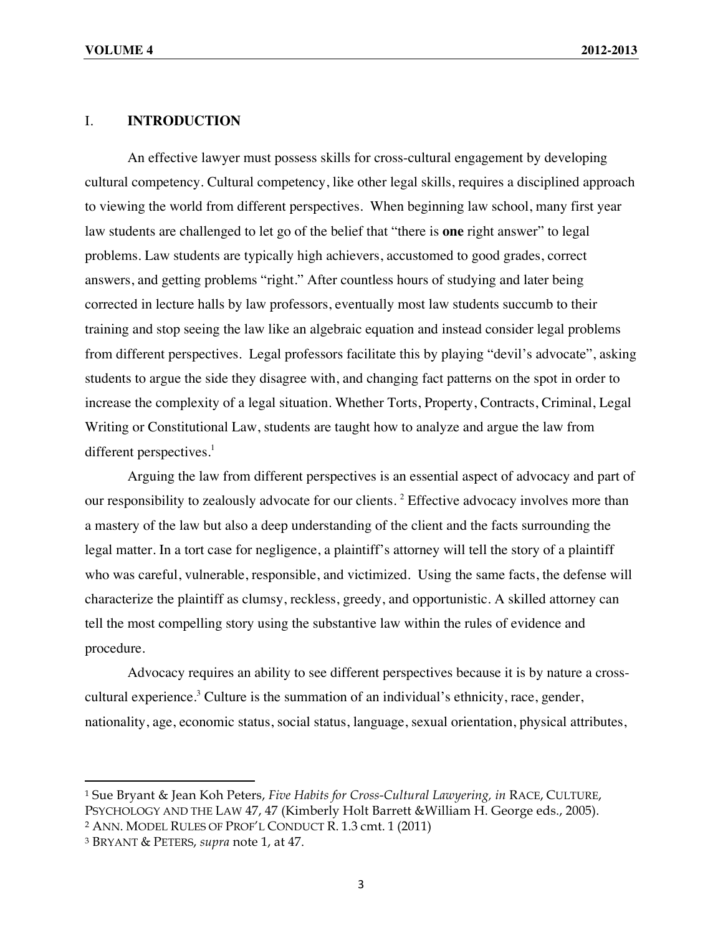### I. **INTRODUCTION**

An effective lawyer must possess skills for cross-cultural engagement by developing cultural competency. Cultural competency, like other legal skills, requires a disciplined approach to viewing the world from different perspectives. When beginning law school, many first year law students are challenged to let go of the belief that "there is **one** right answer" to legal problems. Law students are typically high achievers, accustomed to good grades, correct answers, and getting problems "right." After countless hours of studying and later being corrected in lecture halls by law professors, eventually most law students succumb to their training and stop seeing the law like an algebraic equation and instead consider legal problems from different perspectives. Legal professors facilitate this by playing "devil's advocate", asking students to argue the side they disagree with, and changing fact patterns on the spot in order to increase the complexity of a legal situation. Whether Torts, Property, Contracts, Criminal, Legal Writing or Constitutional Law, students are taught how to analyze and argue the law from different perspectives. $<sup>1</sup>$ </sup>

Arguing the law from different perspectives is an essential aspect of advocacy and part of our responsibility to zealously advocate for our clients.<sup>2</sup> Effective advocacy involves more than a mastery of the law but also a deep understanding of the client and the facts surrounding the legal matter. In a tort case for negligence, a plaintiff's attorney will tell the story of a plaintiff who was careful, vulnerable, responsible, and victimized. Using the same facts, the defense will characterize the plaintiff as clumsy, reckless, greedy, and opportunistic. A skilled attorney can tell the most compelling story using the substantive law within the rules of evidence and procedure.

Advocacy requires an ability to see different perspectives because it is by nature a crosscultural experience.<sup>3</sup> Culture is the summation of an individual's ethnicity, race, gender, nationality, age, economic status, social status, language, sexual orientation, physical attributes,

<sup>1</sup> Sue Bryant & Jean Koh Peters, *Five Habits for Cross-Cultural Lawyering, in* RACE, CULTURE, PSYCHOLOGY AND THE LAW 47, 47 (Kimberly Holt Barrett &William H. George eds., 2005).

<sup>2</sup> ANN. MODEL RULES OF PROF'L CONDUCT R. 1.3 cmt. 1 (2011)

<sup>3</sup> BRYANT & PETERS, *supra* note 1, at 47.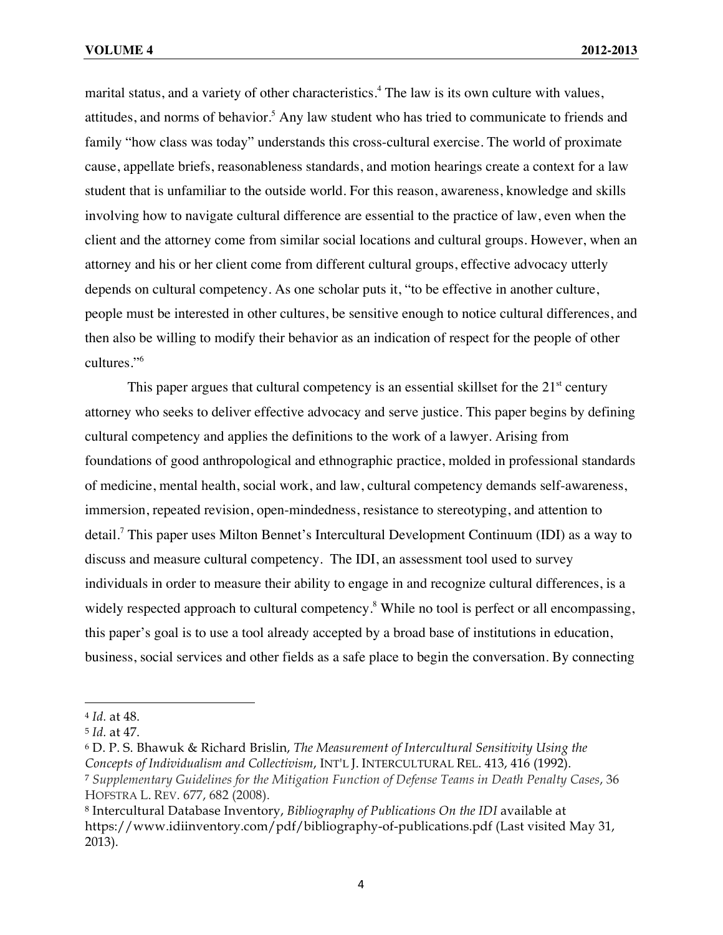marital status, and a variety of other characteristics. <sup>4</sup> The law is its own culture with values, attitudes, and norms of behavior.<sup>5</sup> Any law student who has tried to communicate to friends and family "how class was today" understands this cross-cultural exercise. The world of proximate cause, appellate briefs, reasonableness standards, and motion hearings create a context for a law student that is unfamiliar to the outside world. For this reason, awareness, knowledge and skills involving how to navigate cultural difference are essential to the practice of law, even when the client and the attorney come from similar social locations and cultural groups. However, when an attorney and his or her client come from different cultural groups, effective advocacy utterly depends on cultural competency. As one scholar puts it, "to be effective in another culture, people must be interested in other cultures, be sensitive enough to notice cultural differences, and then also be willing to modify their behavior as an indication of respect for the people of other cultures."<sup>6</sup>

This paper argues that cultural competency is an essential skillset for the  $21<sup>st</sup>$  century attorney who seeks to deliver effective advocacy and serve justice. This paper begins by defining cultural competency and applies the definitions to the work of a lawyer. Arising from foundations of good anthropological and ethnographic practice, molded in professional standards of medicine, mental health, social work, and law, cultural competency demands self-awareness, immersion, repeated revision, open-mindedness, resistance to stereotyping, and attention to detail.<sup>7</sup> This paper uses Milton Bennet's Intercultural Development Continuum (IDI) as a way to discuss and measure cultural competency. The IDI, an assessment tool used to survey individuals in order to measure their ability to engage in and recognize cultural differences, is a widely respected approach to cultural competency.<sup>8</sup> While no tool is perfect or all encompassing, this paper's goal is to use a tool already accepted by a broad base of institutions in education, business, social services and other fields as a safe place to begin the conversation. By connecting

<sup>4</sup> *Id.* at 48.

<sup>5</sup> *Id.* at 47.

<sup>6</sup> D. P. S. Bhawuk & Richard Brislin, *The Measurement of Intercultural Sensitivity Using the Concepts of Individualism and Collectivism*, INT'L J. INTERCULTURAL REL. 413, 416 (1992). <sup>7</sup> *Supplementary Guidelines for the Mitigation Function of Defense Teams in Death Penalty Cases*, 36 HOFSTRA L. REV. 677, 682 (2008).

<sup>8</sup> Intercultural Database Inventory, *Bibliography of Publications On the IDI* available at https://www.idiinventory.com/pdf/bibliography-of-publications.pdf (Last visited May 31, 2013).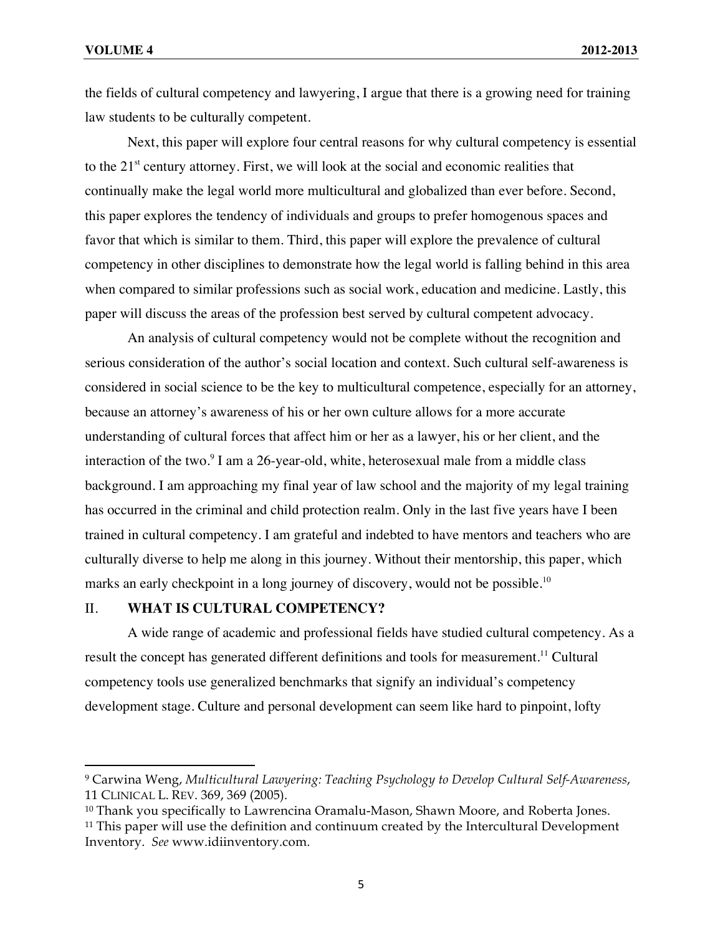the fields of cultural competency and lawyering, I argue that there is a growing need for training law students to be culturally competent.

Next, this paper will explore four central reasons for why cultural competency is essential to the  $21<sup>st</sup>$  century attorney. First, we will look at the social and economic realities that continually make the legal world more multicultural and globalized than ever before. Second, this paper explores the tendency of individuals and groups to prefer homogenous spaces and favor that which is similar to them. Third, this paper will explore the prevalence of cultural competency in other disciplines to demonstrate how the legal world is falling behind in this area when compared to similar professions such as social work, education and medicine. Lastly, this paper will discuss the areas of the profession best served by cultural competent advocacy.

An analysis of cultural competency would not be complete without the recognition and serious consideration of the author's social location and context. Such cultural self-awareness is considered in social science to be the key to multicultural competence, especially for an attorney, because an attorney's awareness of his or her own culture allows for a more accurate understanding of cultural forces that affect him or her as a lawyer, his or her client, and the interaction of the two. $9$  I am a 26-year-old, white, heterosexual male from a middle class background. I am approaching my final year of law school and the majority of my legal training has occurred in the criminal and child protection realm. Only in the last five years have I been trained in cultural competency. I am grateful and indebted to have mentors and teachers who are culturally diverse to help me along in this journey. Without their mentorship, this paper, which marks an early checkpoint in a long journey of discovery, would not be possible.<sup>10</sup>

#### II. **WHAT IS CULTURAL COMPETENCY?**

!!!!!!!!!!!!!!!!!!!!!!!!!!!!!!!!!!!!!!!!!!!!!!!!!!!!!!!!!!!!

A wide range of academic and professional fields have studied cultural competency. As a result the concept has generated different definitions and tools for measurement.<sup>11</sup> Cultural competency tools use generalized benchmarks that signify an individual's competency development stage. Culture and personal development can seem like hard to pinpoint, lofty

<sup>9</sup> Carwina Weng, *Multicultural Lawyering: Teaching Psychology to Develop Cultural Self-Awareness*, 11 CLINICAL L. REV. 369, 369 (2005).

<sup>&</sup>lt;sup>10</sup> Thank you specifically to Lawrencina Oramalu-Mason, Shawn Moore, and Roberta Jones. <sup>11</sup> This paper will use the definition and continuum created by the Intercultural Development Inventory. *See* www.idiinventory.com.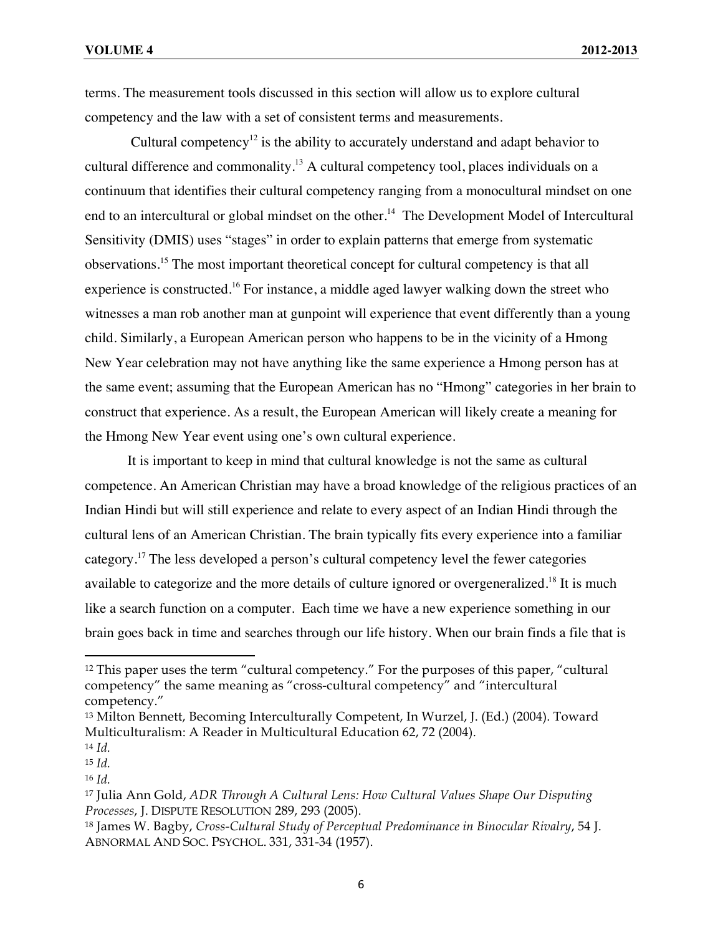terms. The measurement tools discussed in this section will allow us to explore cultural competency and the law with a set of consistent terms and measurements.

Cultural competency<sup>12</sup> is the ability to accurately understand and adapt behavior to cultural difference and commonality.<sup>13</sup> A cultural competency tool, places individuals on a continuum that identifies their cultural competency ranging from a monocultural mindset on one end to an intercultural or global mindset on the other.<sup>14</sup> The Development Model of Intercultural Sensitivity (DMIS) uses "stages" in order to explain patterns that emerge from systematic observations.15 The most important theoretical concept for cultural competency is that all experience is constructed.<sup>16</sup> For instance, a middle aged lawyer walking down the street who witnesses a man rob another man at gunpoint will experience that event differently than a young child. Similarly, a European American person who happens to be in the vicinity of a Hmong New Year celebration may not have anything like the same experience a Hmong person has at the same event; assuming that the European American has no "Hmong" categories in her brain to construct that experience. As a result, the European American will likely create a meaning for the Hmong New Year event using one's own cultural experience.

It is important to keep in mind that cultural knowledge is not the same as cultural competence. An American Christian may have a broad knowledge of the religious practices of an Indian Hindi but will still experience and relate to every aspect of an Indian Hindi through the cultural lens of an American Christian. The brain typically fits every experience into a familiar category.<sup>17</sup> The less developed a person's cultural competency level the fewer categories available to categorize and the more details of culture ignored or overgeneralized.<sup>18</sup> It is much like a search function on a computer. Each time we have a new experience something in our brain goes back in time and searches through our life history. When our brain finds a file that is

 $12$  This paper uses the term "cultural competency." For the purposes of this paper, "cultural competency" the same meaning as "cross-cultural competency" and "intercultural competency."

<sup>13</sup> Milton Bennett, Becoming Interculturally Competent, In Wurzel, J. (Ed.) (2004). Toward Multiculturalism: A Reader in Multicultural Education 62, 72 (2004).

<sup>14</sup> *Id.*

<sup>15</sup> *Id.*

<sup>16</sup> *Id.*

<sup>17</sup> Julia Ann Gold, *ADR Through A Cultural Lens: How Cultural Values Shape Our Disputing Processes*, J. DISPUTE RESOLUTION 289, 293 (2005).

<sup>18</sup> James W. Bagby, *Cross-Cultural Study of Perceptual Predominance in Binocular Rivalry*, 54 J. ABNORMAL AND SOC. PSYCHOL. 331, 331-34 (1957).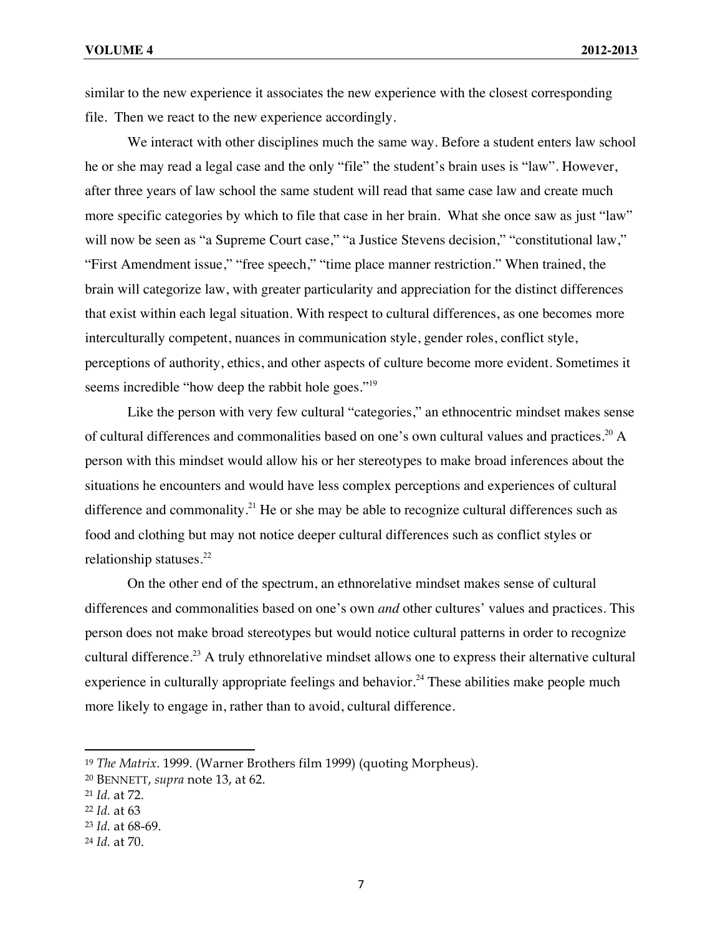similar to the new experience it associates the new experience with the closest corresponding file. Then we react to the new experience accordingly.

We interact with other disciplines much the same way. Before a student enters law school he or she may read a legal case and the only "file" the student's brain uses is "law". However, after three years of law school the same student will read that same case law and create much more specific categories by which to file that case in her brain. What she once saw as just "law" will now be seen as "a Supreme Court case," "a Justice Stevens decision," "constitutional law," "First Amendment issue," "free speech," "time place manner restriction." When trained, the brain will categorize law, with greater particularity and appreciation for the distinct differences that exist within each legal situation. With respect to cultural differences, as one becomes more interculturally competent, nuances in communication style, gender roles, conflict style, perceptions of authority, ethics, and other aspects of culture become more evident. Sometimes it seems incredible "how deep the rabbit hole goes."<sup>19</sup>

Like the person with very few cultural "categories," an ethnocentric mindset makes sense of cultural differences and commonalities based on one's own cultural values and practices.<sup>20</sup> A person with this mindset would allow his or her stereotypes to make broad inferences about the situations he encounters and would have less complex perceptions and experiences of cultural difference and commonality.<sup>21</sup> He or she may be able to recognize cultural differences such as food and clothing but may not notice deeper cultural differences such as conflict styles or relationship statuses. $22$ 

On the other end of the spectrum, an ethnorelative mindset makes sense of cultural differences and commonalities based on one's own *and* other cultures' values and practices. This person does not make broad stereotypes but would notice cultural patterns in order to recognize cultural difference.<sup>23</sup> A truly ethnorelative mindset allows one to express their alternative cultural experience in culturally appropriate feelings and behavior.<sup>24</sup> These abilities make people much more likely to engage in, rather than to avoid, cultural difference.

<sup>19</sup> *The Matrix*. 1999. (Warner Brothers film 1999) (quoting Morpheus).

<sup>20</sup> BENNETT, *supra* note 13, at 62.

<sup>21</sup> *Id.* at 72.

<sup>22</sup> *Id.* at 63

<sup>23</sup> *Id.* at 68-69.

<sup>24</sup> *Id.* at 70.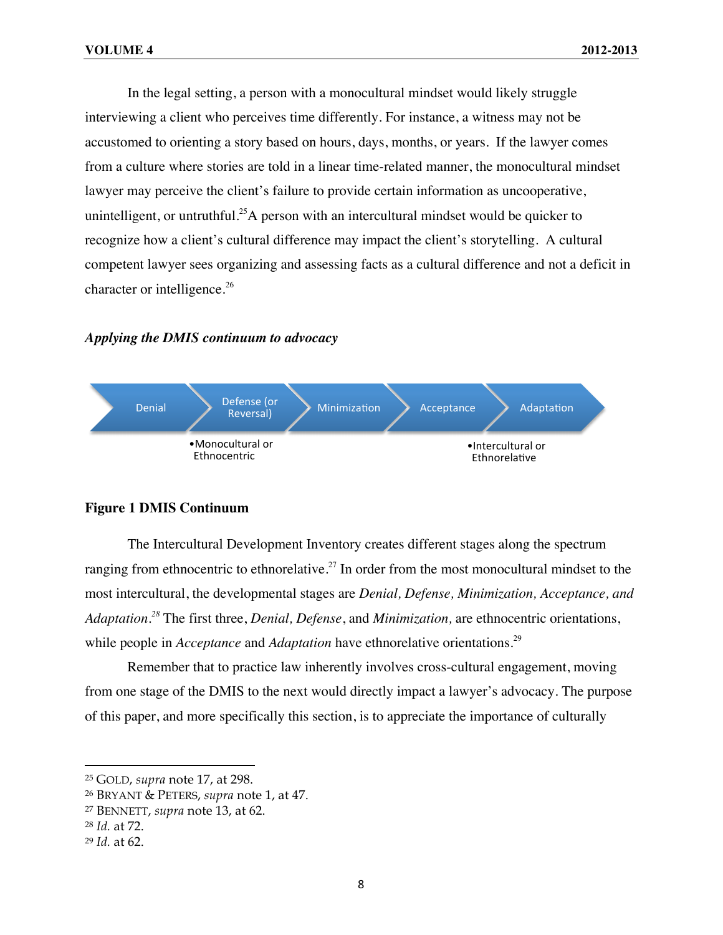In the legal setting, a person with a monocultural mindset would likely struggle interviewing a client who perceives time differently. For instance, a witness may not be accustomed to orienting a story based on hours, days, months, or years. If the lawyer comes from a culture where stories are told in a linear time-related manner, the monocultural mindset lawyer may perceive the client's failure to provide certain information as uncooperative, unintelligent, or untruthful.<sup>25</sup>A person with an intercultural mindset would be quicker to recognize how a client's cultural difference may impact the client's storytelling. A cultural competent lawyer sees organizing and assessing facts as a cultural difference and not a deficit in character or intelligence.<sup>26</sup>

#### *Applying the DMIS continuum to advocacy*



#### **Figure 1 DMIS Continuum**

The Intercultural Development Inventory creates different stages along the spectrum ranging from ethnocentric to ethnorelative.<sup>27</sup> In order from the most monocultural mindset to the most intercultural, the developmental stages are *Denial, Defense, Minimization, Acceptance, and Adaptation. <sup>28</sup>* The first three, *Denial, Defense*, and *Minimization,* are ethnocentric orientations, while people in *Acceptance* and *Adaptation* have ethnorelative orientations.<sup>29</sup>

Remember that to practice law inherently involves cross-cultural engagement, moving from one stage of the DMIS to the next would directly impact a lawyer's advocacy. The purpose of this paper, and more specifically this section, is to appreciate the importance of culturally

<sup>!!!!!!!!!!!!!!!!!!!!!!!!!!!!!!!!!!!!!!!!!!!!!!!!!!!!!!!!!!!!</sup> <sup>25</sup> GOLD, *supra* note 17, at 298.

<sup>26</sup> BRYANT & PETERS, *supra* note 1, at 47.

<sup>27</sup> BENNETT, *supra* note 13, at 62.

<sup>28</sup> *Id.* at 72.

<sup>29</sup> *Id.* at 62.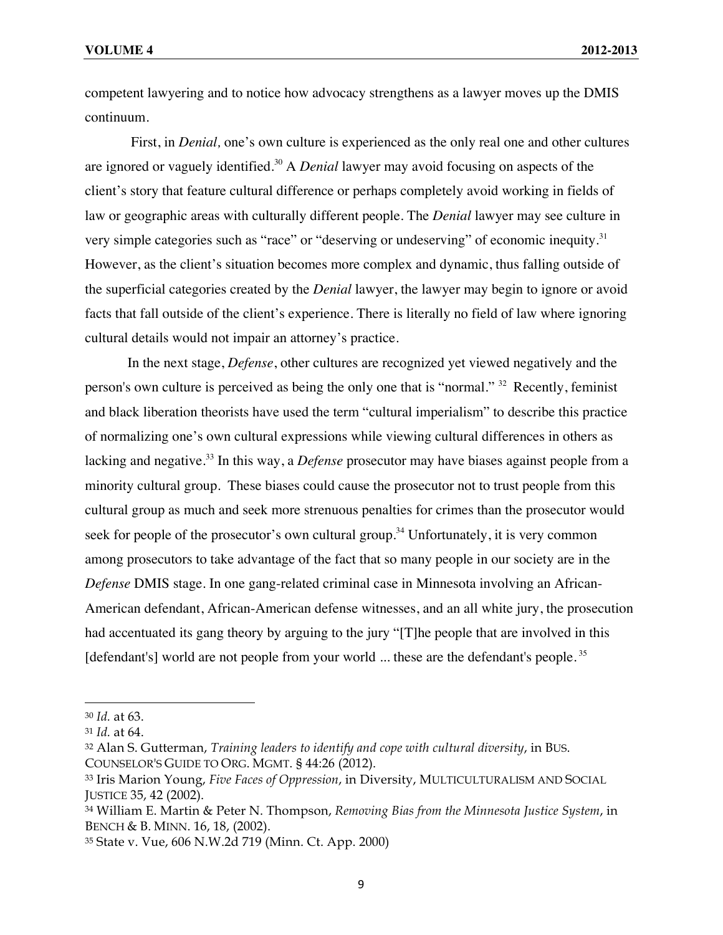competent lawyering and to notice how advocacy strengthens as a lawyer moves up the DMIS continuum.

First, in *Denial,* one's own culture is experienced as the only real one and other cultures are ignored or vaguely identified.<sup>30</sup> A *Denial* lawyer may avoid focusing on aspects of the client's story that feature cultural difference or perhaps completely avoid working in fields of law or geographic areas with culturally different people. The *Denial* lawyer may see culture in very simple categories such as "race" or "deserving or undeserving" of economic inequity.<sup>31</sup> However, as the client's situation becomes more complex and dynamic, thus falling outside of the superficial categories created by the *Denial* lawyer, the lawyer may begin to ignore or avoid facts that fall outside of the client's experience. There is literally no field of law where ignoring cultural details would not impair an attorney's practice.

In the next stage, *Defense*, other cultures are recognized yet viewed negatively and the person's own culture is perceived as being the only one that is "normal." <sup>32</sup>Recently, feminist and black liberation theorists have used the term "cultural imperialism" to describe this practice of normalizing one's own cultural expressions while viewing cultural differences in others as lacking and negative.<sup>33</sup> In this way, a *Defense* prosecutor may have biases against people from a minority cultural group. These biases could cause the prosecutor not to trust people from this cultural group as much and seek more strenuous penalties for crimes than the prosecutor would seek for people of the prosecutor's own cultural group.<sup>34</sup> Unfortunately, it is very common among prosecutors to take advantage of the fact that so many people in our society are in the *Defense* DMIS stage. In one gang-related criminal case in Minnesota involving an African-American defendant, African-American defense witnesses, and an all white jury, the prosecution had accentuated its gang theory by arguing to the jury "[T]he people that are involved in this [defendant's] world are not people from your world ... these are the defendant's people.<sup>35</sup>

<sup>30</sup> *Id.* at 63.

<sup>31</sup> *Id.* at 64.

<sup>32</sup> Alan S. Gutterman, *Training leaders to identify and cope with cultural diversity*, in BUS. COUNSELOR'S GUIDE TO ORG. MGMT. § 44:26 (2012).

<sup>33</sup> Iris Marion Young, *Five Faces of Oppression*, in Diversity, MULTICULTURALISM AND SOCIAL JUSTICE 35, 42 (2002).

<sup>34</sup> William E. Martin & Peter N. Thompson, *Removing Bias from the Minnesota Justice System*, in BENCH & B. MINN. 16, 18, (2002).

<sup>35</sup> State v. Vue, 606 N.W.2d 719 (Minn. Ct. App. 2000)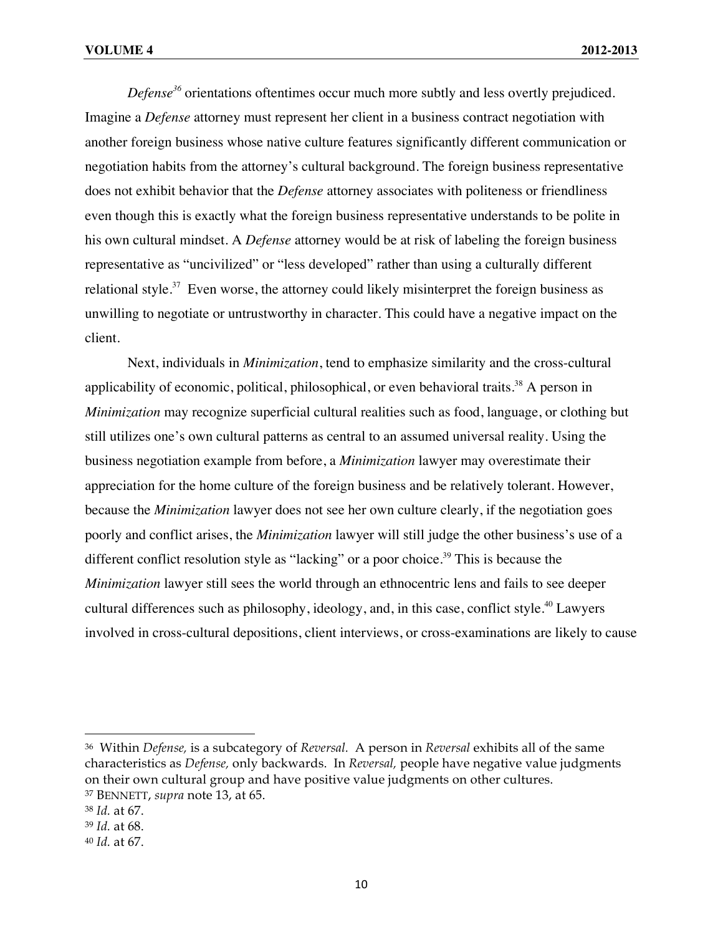*Defense<sup>36</sup>* orientations oftentimes occur much more subtly and less overtly prejudiced. Imagine a *Defense* attorney must represent her client in a business contract negotiation with another foreign business whose native culture features significantly different communication or negotiation habits from the attorney's cultural background. The foreign business representative does not exhibit behavior that the *Defense* attorney associates with politeness or friendliness even though this is exactly what the foreign business representative understands to be polite in his own cultural mindset. A *Defense* attorney would be at risk of labeling the foreign business representative as "uncivilized" or "less developed" rather than using a culturally different relational style.<sup>37</sup> Even worse, the attorney could likely misinterpret the foreign business as unwilling to negotiate or untrustworthy in character. This could have a negative impact on the client.

Next, individuals in *Minimization*, tend to emphasize similarity and the cross-cultural applicability of economic, political, philosophical, or even behavioral traits.<sup>38</sup> A person in *Minimization* may recognize superficial cultural realities such as food, language, or clothing but still utilizes one's own cultural patterns as central to an assumed universal reality. Using the business negotiation example from before, a *Minimization* lawyer may overestimate their appreciation for the home culture of the foreign business and be relatively tolerant. However, because the *Minimization* lawyer does not see her own culture clearly, if the negotiation goes poorly and conflict arises, the *Minimization* lawyer will still judge the other business's use of a different conflict resolution style as "lacking" or a poor choice.<sup>39</sup> This is because the *Minimization* lawyer still sees the world through an ethnocentric lens and fails to see deeper cultural differences such as philosophy, ideology, and, in this case, conflict style.<sup>40</sup> Lawyers involved in cross-cultural depositions, client interviews, or cross-examinations are likely to cause

<sup>36</sup> Within *Defense,* is a subcategory of *Reversal.* A person in *Reversal* exhibits all of the same characteristics as *Defense,* only backwards. In *Reversal,* people have negative value judgments on their own cultural group and have positive value judgments on other cultures. <sup>37</sup> BENNETT, *supra* note 13, at 65.

<sup>38</sup> *Id.* at 67.

<sup>39</sup> *Id.* at 68.

<sup>40</sup> *Id.* at 67.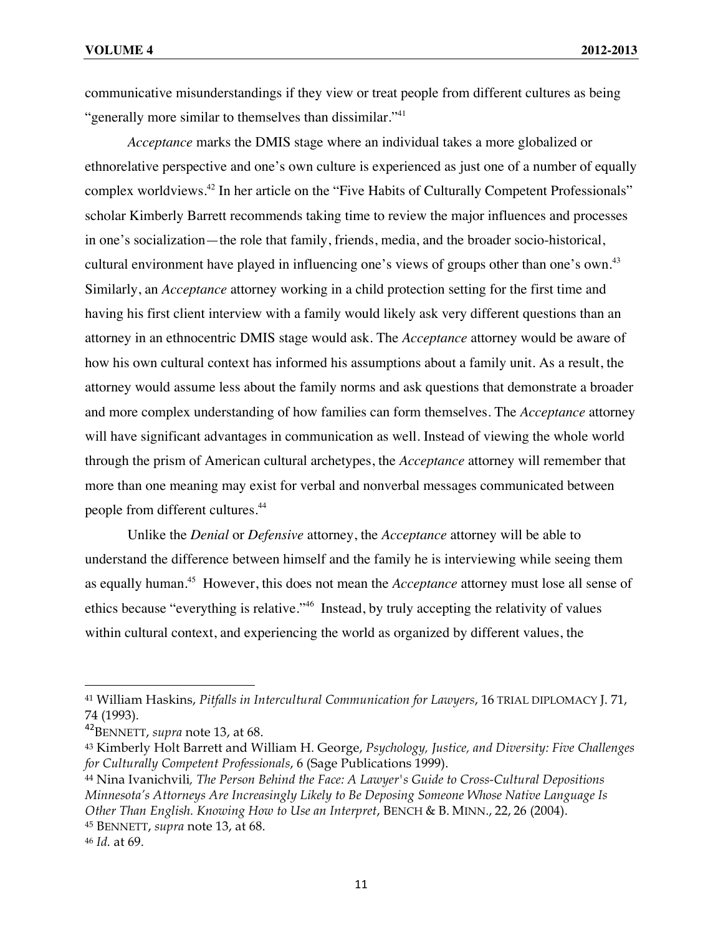communicative misunderstandings if they view or treat people from different cultures as being "generally more similar to themselves than dissimilar."<sup>41</sup>

*Acceptance* marks the DMIS stage where an individual takes a more globalized or ethnorelative perspective and one's own culture is experienced as just one of a number of equally complex worldviews.42 In her article on the "Five Habits of Culturally Competent Professionals" scholar Kimberly Barrett recommends taking time to review the major influences and processes in one's socialization—the role that family, friends, media, and the broader socio-historical, cultural environment have played in influencing one's views of groups other than one's own.<sup>43</sup> Similarly, an *Acceptance* attorney working in a child protection setting for the first time and having his first client interview with a family would likely ask very different questions than an attorney in an ethnocentric DMIS stage would ask. The *Acceptance* attorney would be aware of how his own cultural context has informed his assumptions about a family unit. As a result, the attorney would assume less about the family norms and ask questions that demonstrate a broader and more complex understanding of how families can form themselves. The *Acceptance* attorney will have significant advantages in communication as well. Instead of viewing the whole world through the prism of American cultural archetypes, the *Acceptance* attorney will remember that more than one meaning may exist for verbal and nonverbal messages communicated between people from different cultures.<sup>44</sup>

Unlike the *Denial* or *Defensive* attorney, the *Acceptance* attorney will be able to understand the difference between himself and the family he is interviewing while seeing them as equally human.45 However, this does not mean the *Acceptance* attorney must lose all sense of ethics because "everything is relative."46 Instead, by truly accepting the relativity of values within cultural context, and experiencing the world as organized by different values, the

<sup>41</sup> William Haskins, *Pitfalls in Intercultural Communication for Lawyers*, 16 TRIAL DIPLOMACY J. 71, 74 (1993).

<sup>42</sup>BENNETT, *supra* note 13, at 68.

<sup>43</sup> Kimberly Holt Barrett and William H. George, *Psychology, Justice, and Diversity: Five Challenges for Culturally Competent Professionals*, 6 (Sage Publications 1999).

<sup>44</sup> Nina Ivanichvili*, The Person Behind the Face: A Lawyer's Guide to Cross-Cultural Depositions Minnesota's Attorneys Are Increasingly Likely to Be Deposing Someone Whose Native Language Is Other Than English. Knowing How to Use an Interpret*, BENCH & B. MINN., 22, 26 (2004). <sup>45</sup> BENNETT, *supra* note 13, at 68.

<sup>46</sup> *Id.* at 69.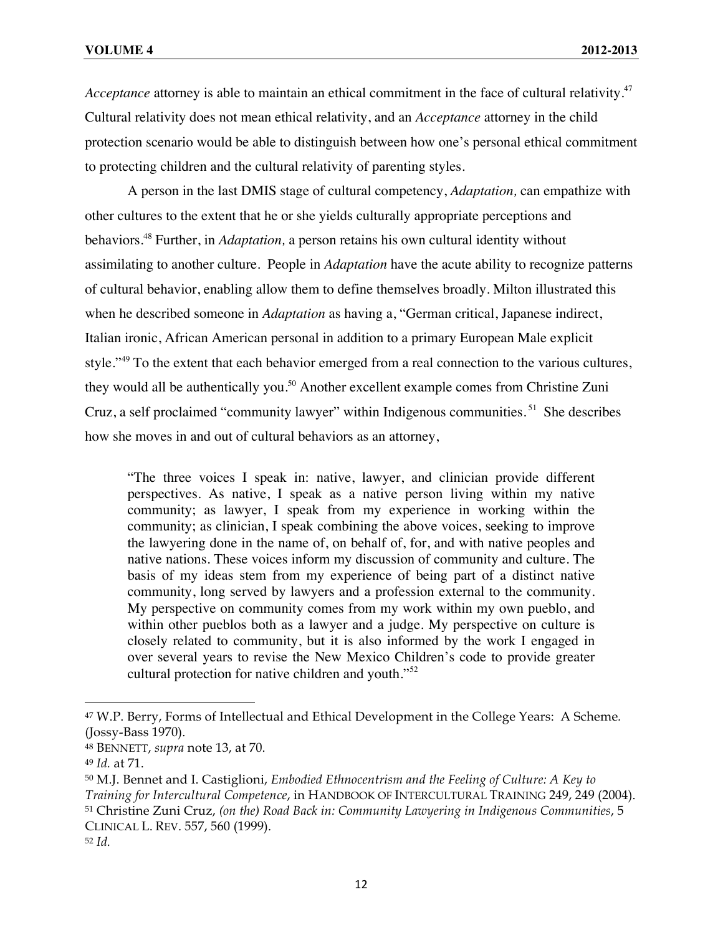*Acceptance* attorney is able to maintain an ethical commitment in the face of cultural relativity.<sup>47</sup> Cultural relativity does not mean ethical relativity, and an *Acceptance* attorney in the child protection scenario would be able to distinguish between how one's personal ethical commitment to protecting children and the cultural relativity of parenting styles.

A person in the last DMIS stage of cultural competency, *Adaptation,* can empathize with other cultures to the extent that he or she yields culturally appropriate perceptions and behaviors.<sup>48</sup> Further, in *Adaptation,* a person retains his own cultural identity without assimilating to another culture. People in *Adaptation* have the acute ability to recognize patterns of cultural behavior, enabling allow them to define themselves broadly. Milton illustrated this when he described someone in *Adaptation* as having a, "German critical, Japanese indirect, Italian ironic, African American personal in addition to a primary European Male explicit style."<sup>49</sup> To the extent that each behavior emerged from a real connection to the various cultures, they would all be authentically you.<sup>50</sup> Another excellent example comes from Christine Zuni Cruz, a self proclaimed "community lawyer" within Indigenous communities.<sup>51</sup> She describes how she moves in and out of cultural behaviors as an attorney,

"The three voices I speak in: native, lawyer, and clinician provide different perspectives. As native, I speak as a native person living within my native community; as lawyer, I speak from my experience in working within the community; as clinician, I speak combining the above voices, seeking to improve the lawyering done in the name of, on behalf of, for, and with native peoples and native nations. These voices inform my discussion of community and culture. The basis of my ideas stem from my experience of being part of a distinct native community, long served by lawyers and a profession external to the community. My perspective on community comes from my work within my own pueblo, and within other pueblos both as a lawyer and a judge. My perspective on culture is closely related to community, but it is also informed by the work I engaged in over several years to revise the New Mexico Children's code to provide greater cultural protection for native children and youth."<sup>52</sup>

<sup>47</sup> W.P. Berry, Forms of Intellectual and Ethical Development in the College Years: A Scheme*.* (Jossy-Bass 1970).

<sup>48</sup> BENNETT, *supra* note 13, at 70.

<sup>49</sup> *Id.* at 71.

<sup>50</sup> M.J. Bennet and I. Castiglioni, *Embodied Ethnocentrism and the Feeling of Culture: A Key to Training for Intercultural Competence*, in HANDBOOK OF INTERCULTURAL TRAINING 249, 249 (2004). <sup>51</sup> Christine Zuni Cruz, *(on the) Road Back in: Community Lawyering in Indigenous Communities*, 5 CLINICAL L. REV. 557, 560 (1999).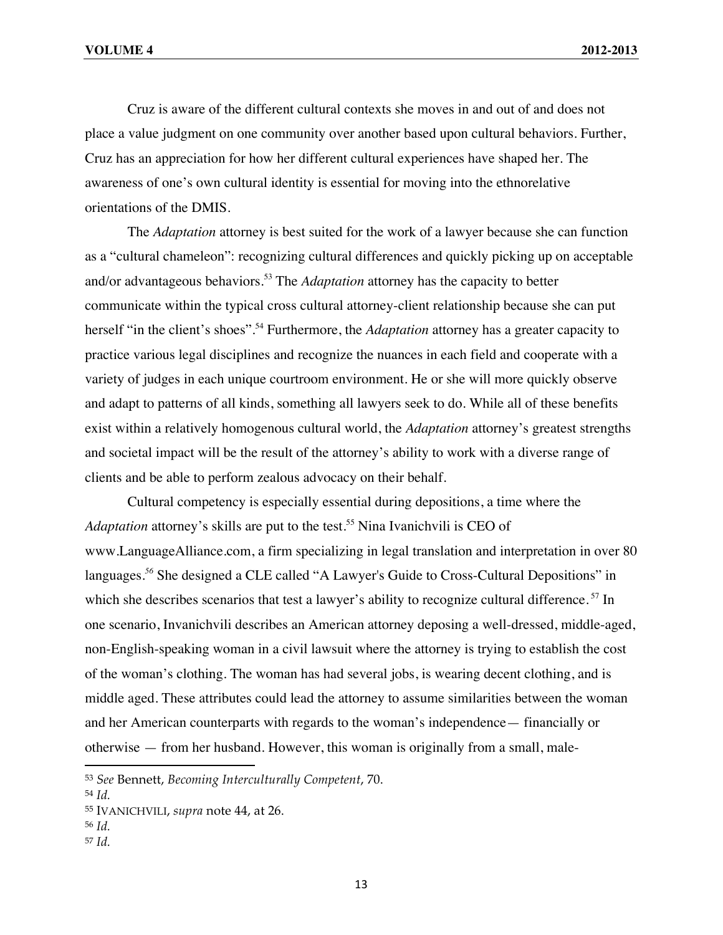Cruz is aware of the different cultural contexts she moves in and out of and does not place a value judgment on one community over another based upon cultural behaviors. Further, Cruz has an appreciation for how her different cultural experiences have shaped her. The awareness of one's own cultural identity is essential for moving into the ethnorelative orientations of the DMIS.

The *Adaptation* attorney is best suited for the work of a lawyer because she can function as a "cultural chameleon": recognizing cultural differences and quickly picking up on acceptable and/or advantageous behaviors.<sup>53</sup> The *Adaptation* attorney has the capacity to better communicate within the typical cross cultural attorney-client relationship because she can put herself "in the client's shoes".<sup>54</sup> Furthermore, the *Adaptation* attorney has a greater capacity to practice various legal disciplines and recognize the nuances in each field and cooperate with a variety of judges in each unique courtroom environment. He or she will more quickly observe and adapt to patterns of all kinds, something all lawyers seek to do. While all of these benefits exist within a relatively homogenous cultural world, the *Adaptation* attorney's greatest strengths and societal impact will be the result of the attorney's ability to work with a diverse range of clients and be able to perform zealous advocacy on their behalf.

Cultural competency is especially essential during depositions, a time where the *Adaptation* attorney's skills are put to the test. <sup>55</sup> Nina Ivanichvili is CEO of www.LanguageAlliance.com, a firm specializing in legal translation and interpretation in over 80 languages*. <sup>56</sup>* She designed a CLE called "A Lawyer's Guide to Cross-Cultural Depositions" in which she describes scenarios that test a lawyer's ability to recognize cultural difference.<sup>57</sup> In one scenario, Invanichvili describes an American attorney deposing a well-dressed, middle-aged, non-English-speaking woman in a civil lawsuit where the attorney is trying to establish the cost of the woman's clothing. The woman has had several jobs, is wearing decent clothing, and is middle aged. These attributes could lead the attorney to assume similarities between the woman and her American counterparts with regards to the woman's independence— financially or otherwise — from her husband. However, this woman is originally from a small, male-

!!!!!!!!!!!!!!!!!!!!!!!!!!!!!!!!!!!!!!!!!!!!!!!!!!!!!!!!!!!!

<sup>57</sup> *Id.*

<sup>53</sup> *See* Bennett, *Becoming Interculturally Competent*, 70.

<sup>54</sup> *Id.*

<sup>55</sup> IVANICHVILI, *supra* note 44, at 26.

<sup>56</sup> *Id.*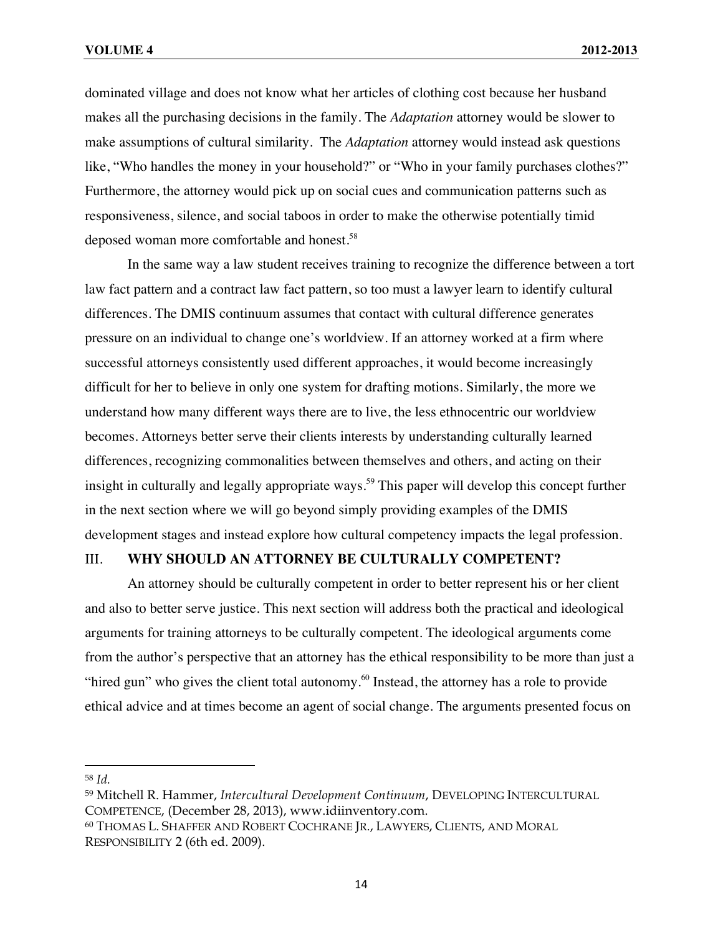dominated village and does not know what her articles of clothing cost because her husband makes all the purchasing decisions in the family. The *Adaptation* attorney would be slower to make assumptions of cultural similarity. The *Adaptation* attorney would instead ask questions like, "Who handles the money in your household?" or "Who in your family purchases clothes?" Furthermore, the attorney would pick up on social cues and communication patterns such as responsiveness, silence, and social taboos in order to make the otherwise potentially timid deposed woman more comfortable and honest.<sup>58</sup>

In the same way a law student receives training to recognize the difference between a tort law fact pattern and a contract law fact pattern, so too must a lawyer learn to identify cultural differences. The DMIS continuum assumes that contact with cultural difference generates pressure on an individual to change one's worldview. If an attorney worked at a firm where successful attorneys consistently used different approaches, it would become increasingly difficult for her to believe in only one system for drafting motions. Similarly, the more we understand how many different ways there are to live, the less ethnocentric our worldview becomes. Attorneys better serve their clients interests by understanding culturally learned differences, recognizing commonalities between themselves and others, and acting on their insight in culturally and legally appropriate ways. <sup>59</sup> This paper will develop this concept further in the next section where we will go beyond simply providing examples of the DMIS development stages and instead explore how cultural competency impacts the legal profession.

#### III. **WHY SHOULD AN ATTORNEY BE CULTURALLY COMPETENT?**

An attorney should be culturally competent in order to better represent his or her client and also to better serve justice. This next section will address both the practical and ideological arguments for training attorneys to be culturally competent. The ideological arguments come from the author's perspective that an attorney has the ethical responsibility to be more than just a "hired gun" who gives the client total autonomy. $60$  Instead, the attorney has a role to provide ethical advice and at times become an agent of social change. The arguments presented focus on

<sup>58</sup> *Id.*

<sup>59</sup> Mitchell R. Hammer, *Intercultural Development Continuum*, DEVELOPING INTERCULTURAL COMPETENCE, (December 28, 2013), www.idiinventory.com.

<sup>60</sup> THOMAS L. SHAFFER AND ROBERT COCHRANE JR., LAWYERS, CLIENTS, AND MORAL RESPONSIBILITY 2 (6th ed. 2009).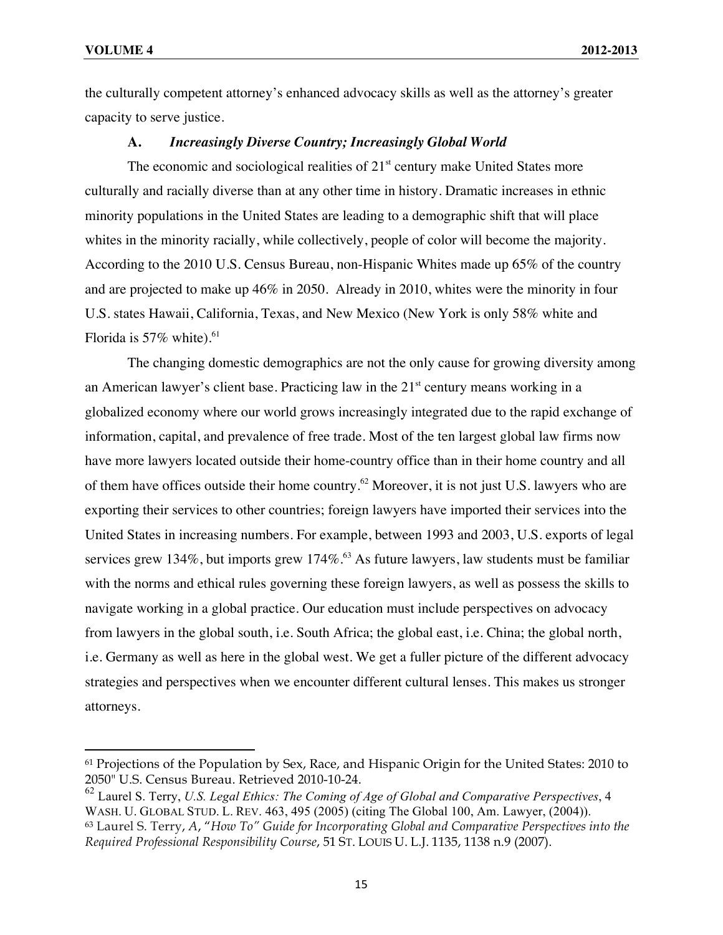!!!!!!!!!!!!!!!!!!!!!!!!!!!!!!!!!!!!!!!!!!!!!!!!!!!!!!!!!!!!

the culturally competent attorney's enhanced advocacy skills as well as the attorney's greater capacity to serve justice.

#### **A.** *Increasingly Diverse Country; Increasingly Global World*

The economic and sociological realities of  $21<sup>st</sup>$  century make United States more culturally and racially diverse than at any other time in history. Dramatic increases in ethnic minority populations in the United States are leading to a demographic shift that will place whites in the minority racially, while collectively, people of color will become the majority. According to the 2010 U.S. Census Bureau, non-Hispanic Whites made up 65% of the country and are projected to make up 46% in 2050. Already in 2010, whites were the minority in four U.S. states Hawaii, California, Texas, and New Mexico (New York is only 58% white and Florida is  $57\%$  white).<sup>61</sup>

The changing domestic demographics are not the only cause for growing diversity among an American lawyer's client base. Practicing law in the  $21<sup>st</sup>$  century means working in a globalized economy where our world grows increasingly integrated due to the rapid exchange of information, capital, and prevalence of free trade. Most of the ten largest global law firms now have more lawyers located outside their home-country office than in their home country and all of them have offices outside their home country.<sup>62</sup> Moreover, it is not just U.S. lawyers who are exporting their services to other countries; foreign lawyers have imported their services into the United States in increasing numbers. For example, between 1993 and 2003, U.S. exports of legal services grew 134%, but imports grew 174%.<sup>63</sup> As future lawyers, law students must be familiar with the norms and ethical rules governing these foreign lawyers, as well as possess the skills to navigate working in a global practice. Our education must include perspectives on advocacy from lawyers in the global south, i.e. South Africa; the global east, i.e. China; the global north, i.e. Germany as well as here in the global west. We get a fuller picture of the different advocacy strategies and perspectives when we encounter different cultural lenses. This makes us stronger attorneys.

<sup>61</sup> Projections of the Population by Sex, Race, and Hispanic Origin for the United States: 2010 to 2050" U.S. Census Bureau. Retrieved 2010-10-24.

<sup>62</sup> Laurel S. Terry, *U.S. Legal Ethics: The Coming of Age of Global and Comparative Perspectives*, 4 WASH. U. GLOBAL STUD. L. REV. 463, 495 (2005) (citing The Global 100, Am. Lawyer, (2004)). <sup>63</sup> Laurel S. Terry, *A*, "*How To" Guide for Incorporating Global and Comparative Perspectives into the Required Professional Responsibility Course*, 51 ST. LOUIS U. L.J. 1135, 1138 n.9 (2007).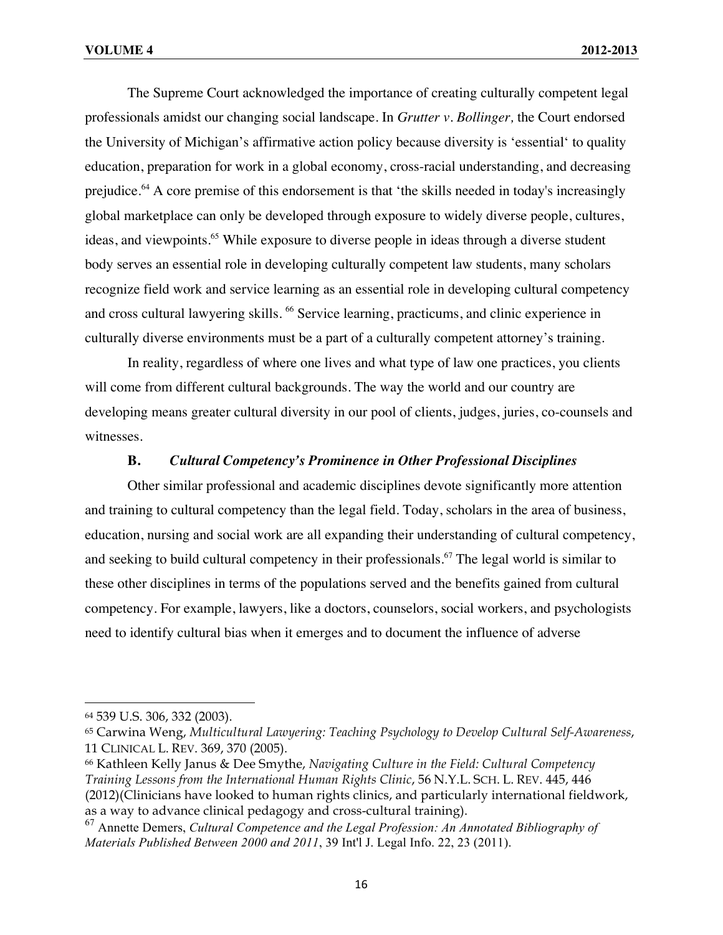The Supreme Court acknowledged the importance of creating culturally competent legal professionals amidst our changing social landscape. In *Grutter v. Bollinger,* the Court endorsed the University of Michigan's affirmative action policy because diversity is 'essential' to quality education, preparation for work in a global economy, cross-racial understanding, and decreasing prejudice.<sup>64</sup> A core premise of this endorsement is that 'the skills needed in today's increasingly global marketplace can only be developed through exposure to widely diverse people, cultures, ideas, and viewpoints.<sup>65</sup> While exposure to diverse people in ideas through a diverse student body serves an essential role in developing culturally competent law students, many scholars recognize field work and service learning as an essential role in developing cultural competency and cross cultural lawyering skills. <sup>66</sup> Service learning, practicums, and clinic experience in culturally diverse environments must be a part of a culturally competent attorney's training.

In reality, regardless of where one lives and what type of law one practices, you clients will come from different cultural backgrounds. The way the world and our country are developing means greater cultural diversity in our pool of clients, judges, juries, co-counsels and witnesses.

### **B.** *Cultural Competency's Prominence in Other Professional Disciplines*

Other similar professional and academic disciplines devote significantly more attention and training to cultural competency than the legal field. Today, scholars in the area of business, education, nursing and social work are all expanding their understanding of cultural competency, and seeking to build cultural competency in their professionals.<sup>67</sup> The legal world is similar to these other disciplines in terms of the populations served and the benefits gained from cultural competency. For example, lawyers, like a doctors, counselors, social workers, and psychologists need to identify cultural bias when it emerges and to document the influence of adverse

<sup>64</sup> 539 U.S. 306, 332 (2003).

<sup>65</sup> Carwina Weng, *Multicultural Lawyering: Teaching Psychology to Develop Cultural Self-Awareness*, 11 CLINICAL L. REV. 369, 370 (2005).

<sup>66</sup> Kathleen Kelly Janus & Dee Smythe, *Navigating Culture in the Field: Cultural Competency Training Lessons from the International Human Rights Clinic*, 56 N.Y.L. SCH. L. REV. 445, 446 (2012)(Clinicians have looked to human rights clinics, and particularly international fieldwork, as a way to advance clinical pedagogy and cross-cultural training).

<sup>67</sup> Annette Demers, *Cultural Competence and the Legal Profession: An Annotated Bibliography of Materials Published Between 2000 and 2011*, 39 Int'l J. Legal Info. 22, 23 (2011).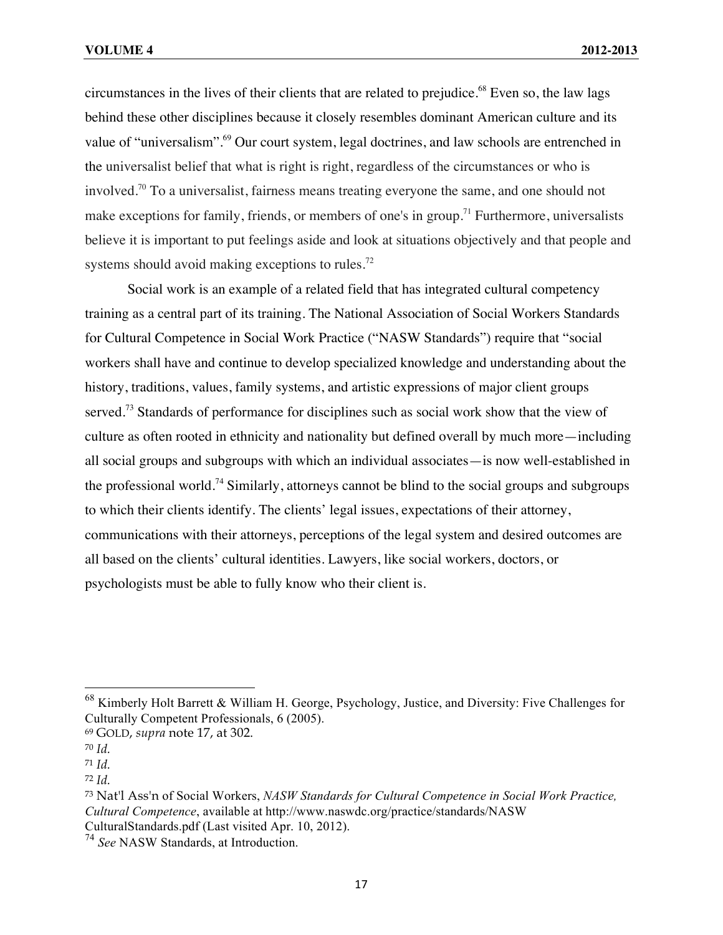circumstances in the lives of their clients that are related to prejudice.<sup>68</sup> Even so, the law lags behind these other disciplines because it closely resembles dominant American culture and its value of "universalism".<sup>69</sup> Our court system, legal doctrines, and law schools are entrenched in the universalist belief that what is right is right, regardless of the circumstances or who is involved.<sup>70</sup> To a universalist, fairness means treating everyone the same, and one should not make exceptions for family, friends, or members of one's in group.<sup>71</sup> Furthermore, universalists believe it is important to put feelings aside and look at situations objectively and that people and systems should avoid making exceptions to rules.<sup>72</sup>

Social work is an example of a related field that has integrated cultural competency training as a central part of its training. The National Association of Social Workers Standards for Cultural Competence in Social Work Practice ("NASW Standards") require that "social workers shall have and continue to develop specialized knowledge and understanding about the history, traditions, values, family systems, and artistic expressions of major client groups served.<sup>73</sup> Standards of performance for disciplines such as social work show that the view of culture as often rooted in ethnicity and nationality but defined overall by much more—including all social groups and subgroups with which an individual associates—is now well-established in the professional world.<sup>74</sup> Similarly, attorneys cannot be blind to the social groups and subgroups to which their clients identify. The clients' legal issues, expectations of their attorney, communications with their attorneys, perceptions of the legal system and desired outcomes are all based on the clients' cultural identities. Lawyers, like social workers, doctors, or psychologists must be able to fully know who their client is.

<sup>&</sup>lt;sup>68</sup> Kimberly Holt Barrett & William H. George, Psychology, Justice, and Diversity: Five Challenges for Culturally Competent Professionals, 6 (2005).

<sup>69</sup> GOLD, *supra* note 17, at 302.

<sup>70</sup> *Id.*

<sup>71</sup> *Id.*

<sup>72</sup> *Id.*

<sup>73</sup> Nat'l Ass'n of Social Workers, *NASW Standards for Cultural Competence in Social Work Practice, Cultural Competence*, available at http://www.naswdc.org/practice/standards/NASW CulturalStandards.pdf (Last visited Apr. 10, 2012).

<sup>74</sup> *See* NASW Standards, at Introduction.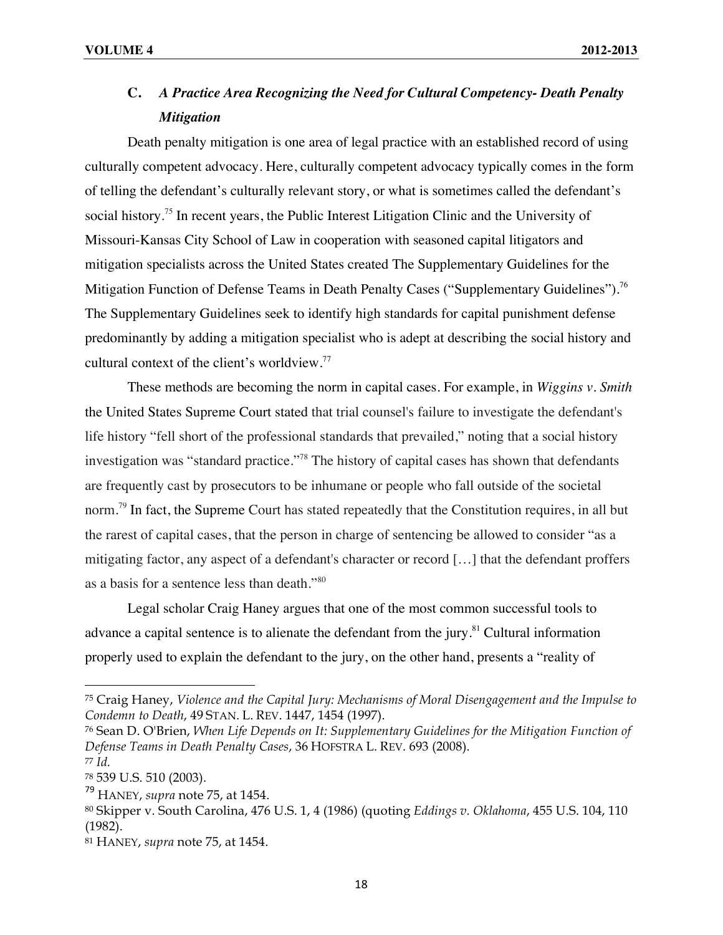### **C.** *A Practice Area Recognizing the Need for Cultural Competency- Death Penalty Mitigation*

Death penalty mitigation is one area of legal practice with an established record of using culturally competent advocacy. Here, culturally competent advocacy typically comes in the form of telling the defendant's culturally relevant story, or what is sometimes called the defendant's social history.<sup>75</sup> In recent years, the Public Interest Litigation Clinic and the University of Missouri-Kansas City School of Law in cooperation with seasoned capital litigators and mitigation specialists across the United States created The Supplementary Guidelines for the Mitigation Function of Defense Teams in Death Penalty Cases ("Supplementary Guidelines").<sup>76</sup> The Supplementary Guidelines seek to identify high standards for capital punishment defense predominantly by adding a mitigation specialist who is adept at describing the social history and cultural context of the client's worldview.<sup>77</sup>

These methods are becoming the norm in capital cases. For example, in *Wiggins v. Smith*  the United States Supreme Court stated that trial counsel's failure to investigate the defendant's life history "fell short of the professional standards that prevailed," noting that a social history investigation was "standard practice."<sup>78</sup> The history of capital cases has shown that defendants are frequently cast by prosecutors to be inhumane or people who fall outside of the societal norm.<sup>79</sup> In fact, the Supreme Court has stated repeatedly that the Constitution requires, in all but the rarest of capital cases, that the person in charge of sentencing be allowed to consider "as a mitigating factor, any aspect of a defendant's character or record […] that the defendant proffers as a basis for a sentence less than death."80

Legal scholar Craig Haney argues that one of the most common successful tools to advance a capital sentence is to alienate the defendant from the jury.<sup>81</sup> Cultural information properly used to explain the defendant to the jury, on the other hand, presents a "reality of

<sup>75</sup> Craig Haney, *Violence and the Capital Jury: Mechanisms of Moral Disengagement and the Impulse to Condemn to Death*, 49 STAN. L. REV. 1447, 1454 (1997).

<sup>76</sup> Sean D. O'Brien, *When Life Depends on It: Supplementary Guidelines for the Mitigation Function of Defense Teams in Death Penalty Cases*, 36 HOFSTRA L. REV. 693 (2008). <sup>77</sup> *Id.*

<sup>78</sup> 539 U.S. 510 (2003).

<sup>79</sup> HANEY, *supra* note 75, at 1454.

<sup>80</sup> Skipper v. South Carolina, 476 U.S. 1, 4 (1986) (quoting *Eddings v. Oklahoma*, 455 U.S. 104, 110 (1982).

<sup>81</sup> HANEY, *supra* note 75, at 1454.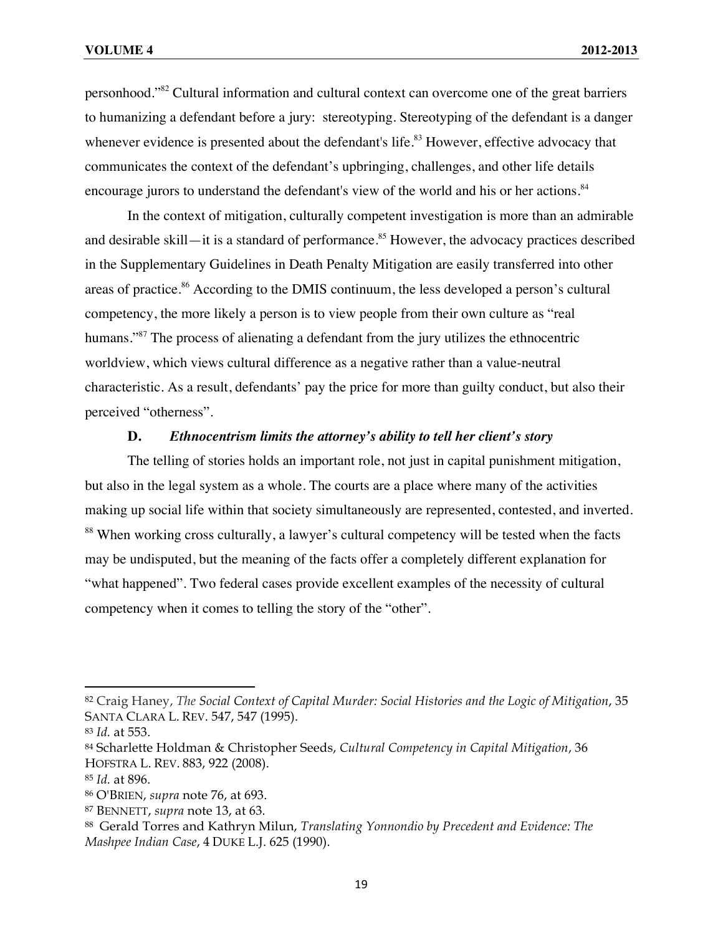personhood."82 Cultural information and cultural context can overcome one of the great barriers to humanizing a defendant before a jury: stereotyping. Stereotyping of the defendant is a danger whenever evidence is presented about the defendant's life.<sup>83</sup> However, effective advocacy that communicates the context of the defendant's upbringing, challenges, and other life details encourage jurors to understand the defendant's view of the world and his or her actions.<sup>84</sup>

In the context of mitigation, culturally competent investigation is more than an admirable and desirable skill—it is a standard of performance.<sup>85</sup> However, the advocacy practices described in the Supplementary Guidelines in Death Penalty Mitigation are easily transferred into other areas of practice.<sup>86</sup> According to the DMIS continuum, the less developed a person's cultural competency, the more likely a person is to view people from their own culture as "real humans."<sup>87</sup> The process of alienating a defendant from the jury utilizes the ethnocentric worldview, which views cultural difference as a negative rather than a value-neutral characteristic. As a result, defendants' pay the price for more than guilty conduct, but also their perceived "otherness".

#### **D.** *Ethnocentrism limits the attorney's ability to tell her client's story*

The telling of stories holds an important role, not just in capital punishment mitigation, but also in the legal system as a whole. The courts are a place where many of the activities making up social life within that society simultaneously are represented, contested, and inverted. <sup>88</sup> When working cross culturally, a lawyer's cultural competency will be tested when the facts may be undisputed, but the meaning of the facts offer a completely different explanation for "what happened". Two federal cases provide excellent examples of the necessity of cultural competency when it comes to telling the story of the "other".

<sup>82</sup> Craig Haney, *The Social Context of Capital Murder: Social Histories and the Logic of Mitigation*, 35 SANTA CLARA L. REV. 547, 547 (1995).

<sup>83</sup> *Id.* at 553.

<sup>84</sup> Scharlette Holdman & Christopher Seeds, *Cultural Competency in Capital Mitigation*, 36 HOFSTRA L. REV. 883, 922 (2008).

<sup>85</sup> *Id.* at 896.

<sup>86</sup> O'BRIEN, *supra* note 76, at 693.

<sup>87</sup> BENNETT, *supra* note 13, at 63.

<sup>88</sup> Gerald Torres and Kathryn Milun, *Translating Yonnondio by Precedent and Evidence: The Mashpee Indian Case*, 4 DUKE L.J. 625 (1990).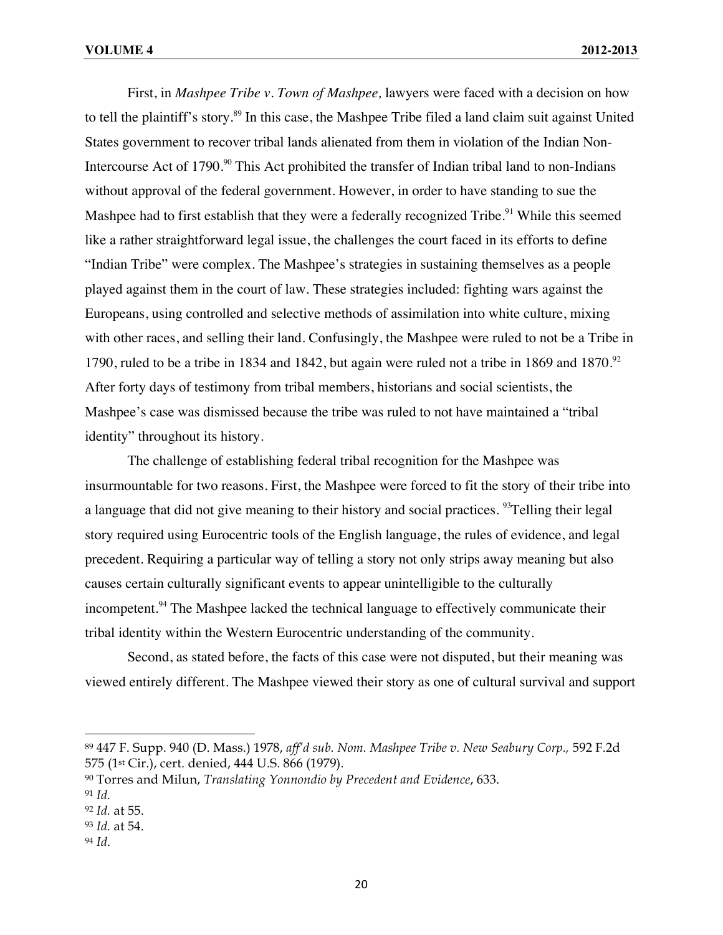First, in *Mashpee Tribe v. Town of Mashpee,* lawyers were faced with a decision on how to tell the plaintiff's story.<sup>89</sup> In this case, the Mashpee Tribe filed a land claim suit against United States government to recover tribal lands alienated from them in violation of the Indian Non-Intercourse Act of 1790.<sup>90</sup> This Act prohibited the transfer of Indian tribal land to non-Indians without approval of the federal government. However, in order to have standing to sue the Mashpee had to first establish that they were a federally recognized Tribe.<sup>91</sup> While this seemed like a rather straightforward legal issue, the challenges the court faced in its efforts to define "Indian Tribe" were complex. The Mashpee's strategies in sustaining themselves as a people played against them in the court of law. These strategies included: fighting wars against the Europeans, using controlled and selective methods of assimilation into white culture, mixing with other races, and selling their land. Confusingly, the Mashpee were ruled to not be a Tribe in 1790, ruled to be a tribe in 1834 and 1842, but again were ruled not a tribe in 1869 and 1870.<sup>92</sup> After forty days of testimony from tribal members, historians and social scientists, the Mashpee's case was dismissed because the tribe was ruled to not have maintained a "tribal identity" throughout its history.

The challenge of establishing federal tribal recognition for the Mashpee was insurmountable for two reasons. First, the Mashpee were forced to fit the story of their tribe into a language that did not give meaning to their history and social practices. <sup>93</sup>Telling their legal story required using Eurocentric tools of the English language, the rules of evidence, and legal precedent. Requiring a particular way of telling a story not only strips away meaning but also causes certain culturally significant events to appear unintelligible to the culturally incompetent.<sup>94</sup> The Mashpee lacked the technical language to effectively communicate their tribal identity within the Western Eurocentric understanding of the community.

Second, as stated before, the facts of this case were not disputed, but their meaning was viewed entirely different. The Mashpee viewed their story as one of cultural survival and support

<sup>89</sup> 447 F. Supp. 940 (D. Mass.) 1978, *aff'd sub. Nom. Mashpee Tribe v. New Seabury Corp.,* 592 F.2d 575 (1st Cir.), cert. denied, 444 U.S. 866 (1979).

<sup>90</sup> Torres and Milun, *Translating Yonnondio by Precedent and Evidence*, 633.

<sup>91</sup> *Id.*

<sup>92</sup> *Id.* at 55.

<sup>93</sup> *Id.* at 54.

<sup>94</sup> *Id*.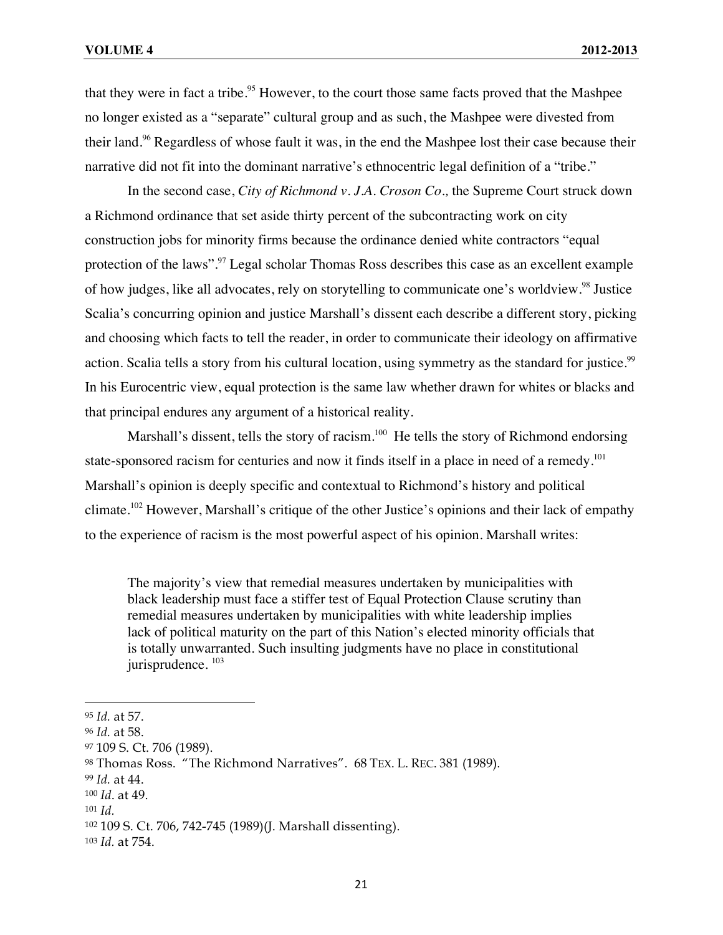that they were in fact a tribe.<sup>95</sup> However, to the court those same facts proved that the Mashpee no longer existed as a "separate" cultural group and as such, the Mashpee were divested from their land.<sup>96</sup> Regardless of whose fault it was, in the end the Mashpee lost their case because their narrative did not fit into the dominant narrative's ethnocentric legal definition of a "tribe."

In the second case, *City of Richmond v. J.A. Croson Co.,* the Supreme Court struck down a Richmond ordinance that set aside thirty percent of the subcontracting work on city construction jobs for minority firms because the ordinance denied white contractors "equal protection of the laws".97 Legal scholar Thomas Ross describes this case as an excellent example of how judges, like all advocates, rely on storytelling to communicate one's worldview.<sup>98</sup> Justice Scalia's concurring opinion and justice Marshall's dissent each describe a different story, picking and choosing which facts to tell the reader, in order to communicate their ideology on affirmative action. Scalia tells a story from his cultural location, using symmetry as the standard for justice.<sup>99</sup> In his Eurocentric view, equal protection is the same law whether drawn for whites or blacks and that principal endures any argument of a historical reality.

Marshall's dissent, tells the story of racism.<sup>100</sup> He tells the story of Richmond endorsing state-sponsored racism for centuries and now it finds itself in a place in need of a remedy.<sup>101</sup> Marshall's opinion is deeply specific and contextual to Richmond's history and political climate.<sup>102</sup> However, Marshall's critique of the other Justice's opinions and their lack of empathy to the experience of racism is the most powerful aspect of his opinion. Marshall writes:

The majority's view that remedial measures undertaken by municipalities with black leadership must face a stiffer test of Equal Protection Clause scrutiny than remedial measures undertaken by municipalities with white leadership implies lack of political maturity on the part of this Nation's elected minority officials that is totally unwarranted. Such insulting judgments have no place in constitutional jurisprudence.  $103$ 

<sup>95</sup> *Id.* at 57.

<sup>96</sup> *Id.* at 58.

<sup>97 109</sup> S. Ct. 706 (1989).

<sup>98</sup> Thomas Ross. "The Richmond Narratives". 68 TEX. L. REC. 381 (1989).

<sup>99</sup> *Id.* at 44.

<sup>100</sup> *Id*. at 49.

<sup>101</sup> *Id.*

<sup>102</sup> 109 S. Ct. 706, 742-745 (1989)(J. Marshall dissenting).

<sup>103</sup> *Id.* at 754.